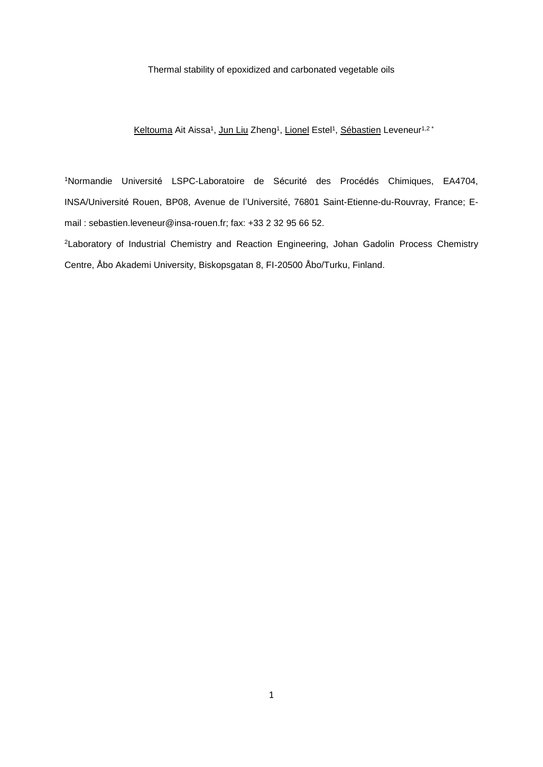## Thermal stability of epoxidized and carbonated vegetable oils

<u>Keltouma</u> Ait Aissa<sup>1</sup>, <u>Jun Liu</u> Zheng<sup>1</sup>, <u>Lionel</u> Estel<sup>1</sup>, <u>Sébastien</u> Leveneur<sup>1,2</sup> \*

1Normandie Université LSPC-Laboratoire de Sécurité des Procédés Chimiques, EA4704, INSA/Université Rouen, BP08, Avenue de l'Université, 76801 Saint-Etienne-du-Rouvray, France; Email : sebastien.leveneur@insa-rouen.fr; fax: +33 2 32 95 66 52.

<sup>2</sup>Laboratory of Industrial Chemistry and Reaction Engineering, Johan Gadolin Process Chemistry Centre, Åbo Akademi University, Biskopsgatan 8, FI-20500 Åbo/Turku, Finland.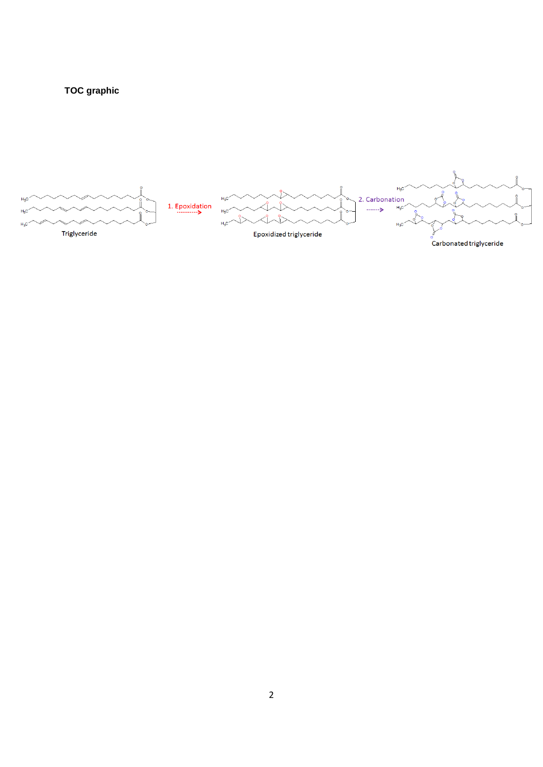

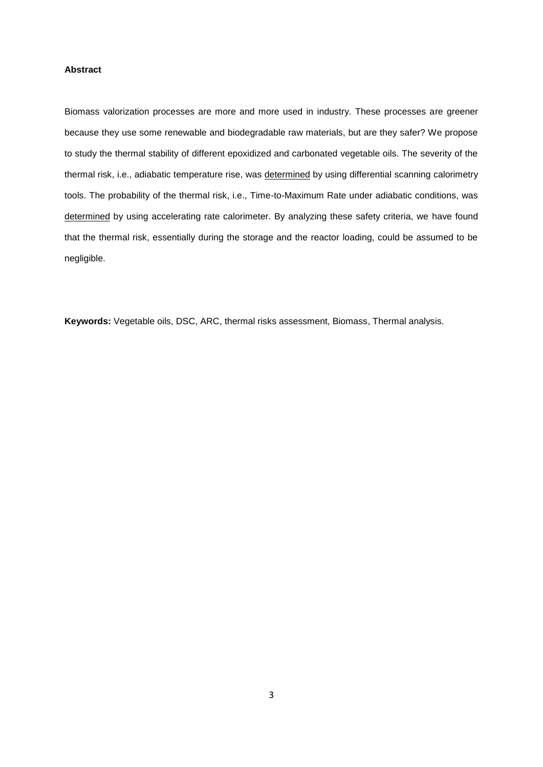## **Abstract**

Biomass valorization processes are more and more used in industry. These processes are greener because they use some renewable and biodegradable raw materials, but are they safer? We propose to study the thermal stability of different epoxidized and carbonated vegetable oils. The severity of the thermal risk, i.e., adiabatic temperature rise, was determined by using differential scanning calorimetry tools. The probability of the thermal risk, i.e., Time-to-Maximum Rate under adiabatic conditions, was determined by using accelerating rate calorimeter. By analyzing these safety criteria, we have found that the thermal risk, essentially during the storage and the reactor loading, could be assumed to be negligible.

**Keywords:** Vegetable oils, DSC, ARC, thermal risks assessment, Biomass, Thermal analysis.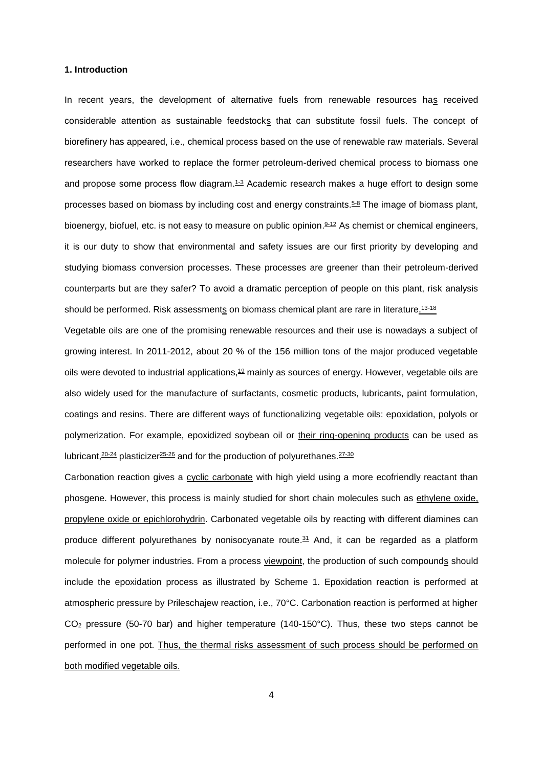#### **1. Introduction**

In recent years, the development of alternative fuels from renewable resources has received considerable attention as sustainable feedstocks that can substitute fossil fuels. The concept of biorefinery has appeared, i.e., chemical process based on the use of renewable raw materials. Several researchers have worked to replace the former petroleum-derived chemical process to biomass one and propose some process flow diagram.<sup>1.3</sup> Academic research makes a huge effort to design some processes based on biomass by including cost and energy constraints.<sup>5,8</sup> The image of biomass plant, bioenergy, biofuel, etc. is not easy to measure on public opinion.<sup>9-12</sup> As chemist or chemical engineers, it is our duty to show that environmental and safety issues are our first priority by developing and studying biomass conversion processes. These processes are greener than their petroleum-derived counterparts but are they safer? To avoid a dramatic perception of people on this plant, risk analysis should be performed. Risk assessments on biomass chemical plant are rare in literature.<sup>13-18</sup>

Vegetable oils are one of the promising renewable resources and their use is nowadays a subject of growing interest. In 2011-2012, about 20 % of the 156 million tons of the major produced vegetable oils were devoted to industrial applications,<sup>19</sup> mainly as sources of energy. However, vegetable oils are also widely used for the manufacture of surfactants, cosmetic products, lubricants, paint formulation, coatings and resins. There are different ways of functionalizing vegetable oils: epoxidation, polyols or polymerization. For example, epoxidized soybean oil or their ring-opening products can be used as lubricant, <sup>20-24</sup> plasticizer <sup>25-26</sup> and for the production of polyurethanes. <sup>27-30</sup>

Carbonation reaction gives a cyclic carbonate with high yield using a more ecofriendly reactant than phosgene. However, this process is mainly studied for short chain molecules such as ethylene oxide, propylene oxide or epichlorohydrin. Carbonated vegetable oils by reacting with different diamines can produce different polyurethanes by nonisocyanate route. <sup>31</sup> And, it can be regarded as a platform molecule for polymer industries. From a process viewpoint, the production of such compounds should include the epoxidation process as illustrated by Scheme 1. Epoxidation reaction is performed at atmospheric pressure by Prileschajew reaction, i.e., 70°C. Carbonation reaction is performed at higher CO<sup>2</sup> pressure (50-70 bar) and higher temperature (140-150°C). Thus, these two steps cannot be performed in one pot. Thus, the thermal risks assessment of such process should be performed on both modified vegetable oils.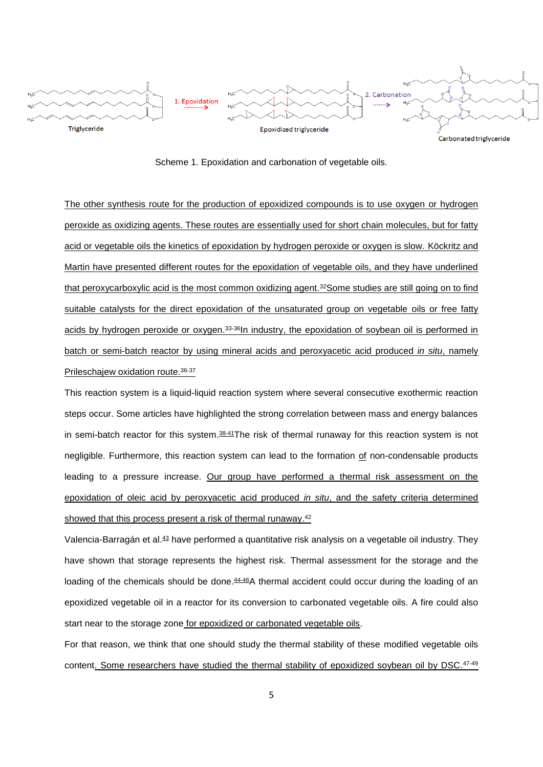

Scheme 1. Epoxidation and carbonation of vegetable oils.

The other synthesis route for the production of epoxidized compounds is to use oxygen or hydrogen peroxide as oxidizing agents. These routes are essentially used for short chain molecules, but for fatty acid or vegetable oils the kinetics of epoxidation by hydrogen peroxide or oxygen is slow. Köckritz and Martin have presented different routes for the epoxidation of vegetable oils, and they have underlined that peroxycarboxylic acid is the most common oxidizing agent.<sup>32</sup>Some studies are still going on to find suitable catalysts for the direct epoxidation of the unsaturated group on vegetable oils or free fatty acids by hydrogen peroxide or oxygen.<sup>33-36</sup>In industry, the epoxidation of soybean oil is performed in batch or semi-batch reactor by using mineral acids and peroxyacetic acid produced *in situ*, namely Prileschajew oxidation route. 36-37

This reaction system is a liquid-liquid reaction system where several consecutive exothermic reaction steps occur. Some articles have highlighted the strong correlation between mass and energy balances in semi-batch reactor for this system.<sup>38-41</sup>The risk of thermal runaway for this reaction system is not negligible. Furthermore, this reaction system can lead to the formation of non-condensable products leading to a pressure increase. Our group have performed a thermal risk assessment on the epoxidation of oleic acid by peroxyacetic acid produced *in situ*, and the safety criteria determined showed that this process present a risk of thermal runaway.<sup>42</sup>

Valencia-Barragán et al.<sup>43</sup> have performed a quantitative risk analysis on a vegetable oil industry. They have shown that storage represents the highest risk. Thermal assessment for the storage and the loading of the chemicals should be done.<sup>44-46</sup>A thermal accident could occur during the loading of an epoxidized vegetable oil in a reactor for its conversion to carbonated vegetable oils. A fire could also start near to the storage zone for epoxidized or carbonated vegetable oils.

For that reason, we think that one should study the thermal stability of these modified vegetable oils content. Some researchers have studied the thermal stability of epoxidized soybean oil by DSC.<sup>47-49</sup>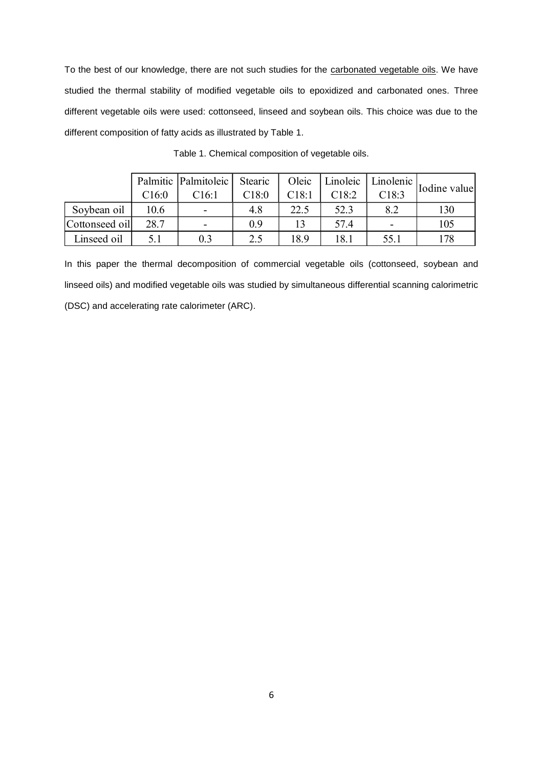To the best of our knowledge, there are not such studies for the carbonated vegetable oils. We have studied the thermal stability of modified vegetable oils to epoxidized and carbonated ones. Three different vegetable oils were used: cottonseed, linseed and soybean oils. This choice was due to the different composition of fatty acids as illustrated by Table 1.

|                |       | Palmitic   Palmitoleic   Stearic |       | Oleic | Linoleic | Linolenic                | Iodine value |
|----------------|-------|----------------------------------|-------|-------|----------|--------------------------|--------------|
|                | C16:0 | C16:1                            | C18:0 | C18:1 | C18:2    | C18:3                    |              |
| Soybean oil    | 10.6  | $\overline{\phantom{0}}$         | 4.8   | 22.5  | 52.3     | 8.2                      | 130          |
| Cottonseed oil | 28.7  | $\overline{\phantom{0}}$         | 0.9   |       | 57.4     | $\overline{\phantom{0}}$ | 105          |
| Linseed oil    | 5.1   | 0.3                              | 2.5   | 18.9  | 18.1     | 55.1                     | l 78         |

Table 1. Chemical composition of vegetable oils.

In this paper the thermal decomposition of commercial vegetable oils (cottonseed, soybean and linseed oils) and modified vegetable oils was studied by simultaneous differential scanning calorimetric (DSC) and accelerating rate calorimeter (ARC).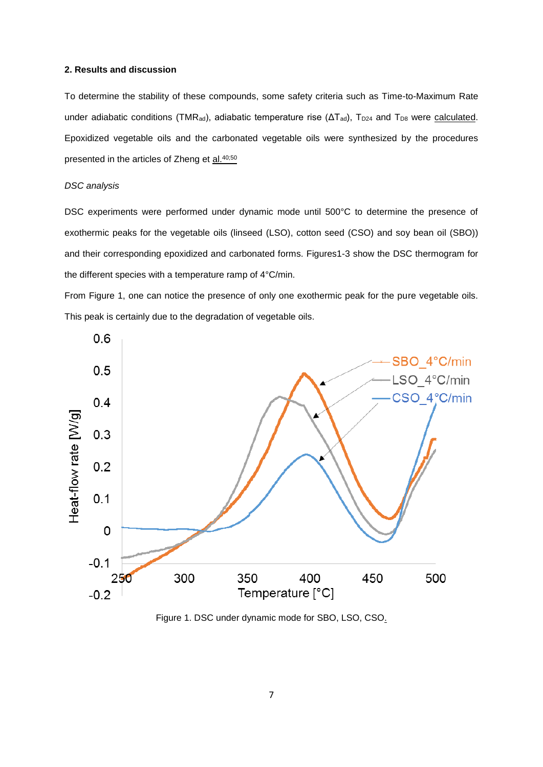### **2. Results and discussion**

To determine the stability of these compounds, some safety criteria such as Time-to-Maximum Rate under adiabatic conditions (TMR<sub>ad</sub>), adiabatic temperature rise ( $\Delta T_{ad}$ ), T<sub>D24</sub> and T<sub>D8</sub> were calculated. Epoxidized vegetable oils and the carbonated vegetable oils were synthesized by the procedures presented in the articles of Zheng et al.<sup>40;50</sup>

# *DSC analysis*

DSC experiments were performed under dynamic mode until 500°C to determine the presence of exothermic peaks for the vegetable oils (linseed (LSO), cotton seed (CSO) and soy bean oil (SBO)) and their corresponding epoxidized and carbonated forms. Figures1-3 show the DSC thermogram for the different species with a temperature ramp of 4°C/min.

From Figure 1, one can notice the presence of only one exothermic peak for the pure vegetable oils. This peak is certainly due to the degradation of vegetable oils.



Figure 1. DSC under dynamic mode for SBO, LSO, CSO.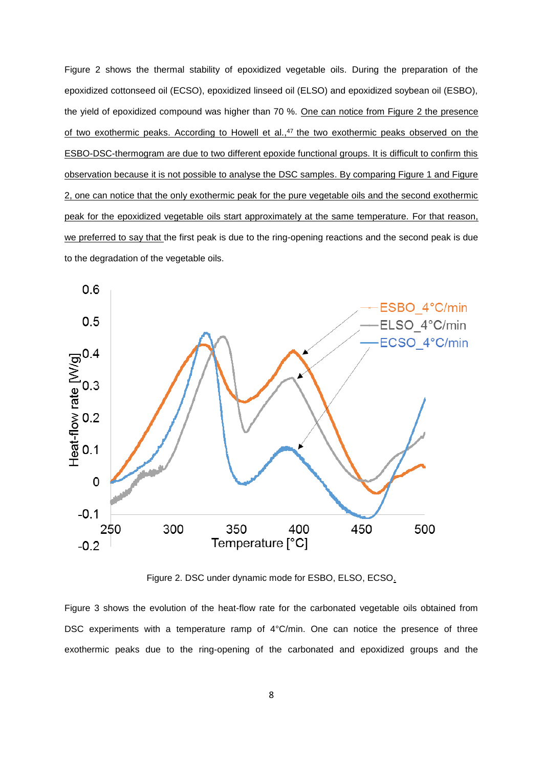Figure 2 shows the thermal stability of epoxidized vegetable oils. During the preparation of the epoxidized cottonseed oil (ECSO), epoxidized linseed oil (ELSO) and epoxidized soybean oil (ESBO), the yield of epoxidized compound was higher than 70 %. One can notice from Figure 2 the presence of two exothermic peaks. According to Howell et al.,<sup>47</sup> the two exothermic peaks observed on the ESBO-DSC-thermogram are due to two different epoxide functional groups. It is difficult to confirm this observation because it is not possible to analyse the DSC samples. By comparing Figure 1 and Figure 2, one can notice that the only exothermic peak for the pure vegetable oils and the second exothermic peak for the epoxidized vegetable oils start approximately at the same temperature. For that reason, we preferred to say that the first peak is due to the ring-opening reactions and the second peak is due to the degradation of the vegetable oils.



Figure 2. DSC under dynamic mode for ESBO, ELSO, ECSO.

Figure 3 shows the evolution of the heat-flow rate for the carbonated vegetable oils obtained from DSC experiments with a temperature ramp of 4°C/min. One can notice the presence of three exothermic peaks due to the ring-opening of the carbonated and epoxidized groups and the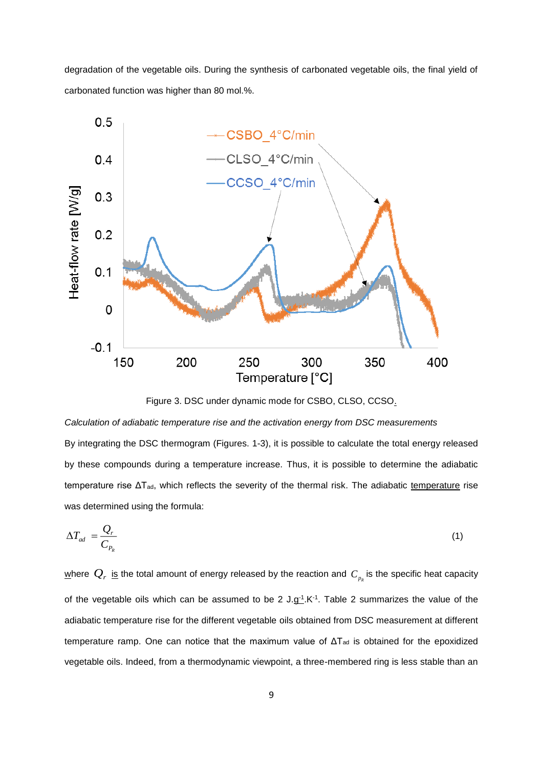degradation of the vegetable oils. During the synthesis of carbonated vegetable oils, the final yield of carbonated function was higher than 80 mol.%.



Figure 3. DSC under dynamic mode for CSBO, CLSO, CCSO.

*Calculation of adiabatic temperature rise and the activation energy from DSC measurements* By integrating the DSC thermogram (Figures. 1-3), it is possible to calculate the total energy released by these compounds during a temperature increase. Thus, it is possible to determine the adiabatic temperature rise  $\Delta T_{ad}$ , which reflects the severity of the thermal risk. The adiabatic temperature rise was determined using the formula:

$$
\Delta T_{ad} = \frac{Q_r}{C_{P_R}} \tag{1}
$$

<u>w</u>here  $\mathcal{Q}_r$  <u>is</u> the total amount of energy released by the reaction and  $\mathcal{C}_{_{p_k}}$  is the specific heat capacity of the vegetable oils which can be assumed to be 2  $J.g^{-1}$ . K<sup>-1</sup>. Table 2 summarizes the value of the adiabatic temperature rise for the different vegetable oils obtained from DSC measurement at different temperature ramp. One can notice that the maximum value of  $\Delta T_{ad}$  is obtained for the epoxidized vegetable oils. Indeed, from a thermodynamic viewpoint, a three-membered ring is less stable than an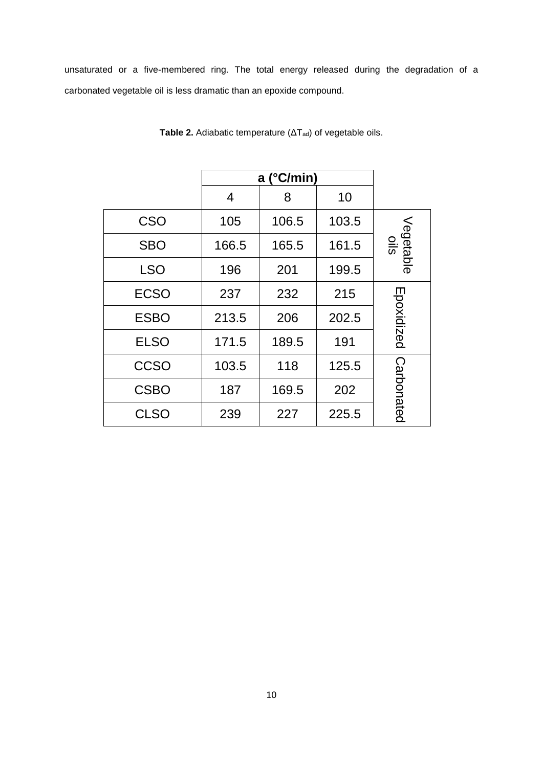unsaturated or a five-membered ring. The total energy released during the degradation of a carbonated vegetable oil is less dramatic than an epoxide compound.

|             | a $(^{\circ}C/min)$ |       |       |                          |
|-------------|---------------------|-------|-------|--------------------------|
|             | 4                   | 8     | 10    |                          |
| <b>CSO</b>  | 105                 | 106.5 | 103.5 |                          |
| <b>SBO</b>  | 166.5               | 165.5 | 161.5 | Vegetable<br>$rac{1}{s}$ |
| <b>LSO</b>  | 196                 | 201   | 199.5 |                          |
| <b>ECSO</b> | 237                 | 232   | 215   |                          |
| <b>ESBO</b> | 213.5               | 206   | 202.5 | Epoxidized               |
| <b>ELSO</b> | 171.5               | 189.5 | 191   |                          |
| <b>CCSO</b> | 103.5               | 118   | 125.5 |                          |
| <b>CSBO</b> | 187                 | 169.5 | 202   | Carbonated               |
| <b>CLSO</b> | 239                 | 227   | 225.5 |                          |

**Table 2.** Adiabatic temperature (ΔTad) of vegetable oils.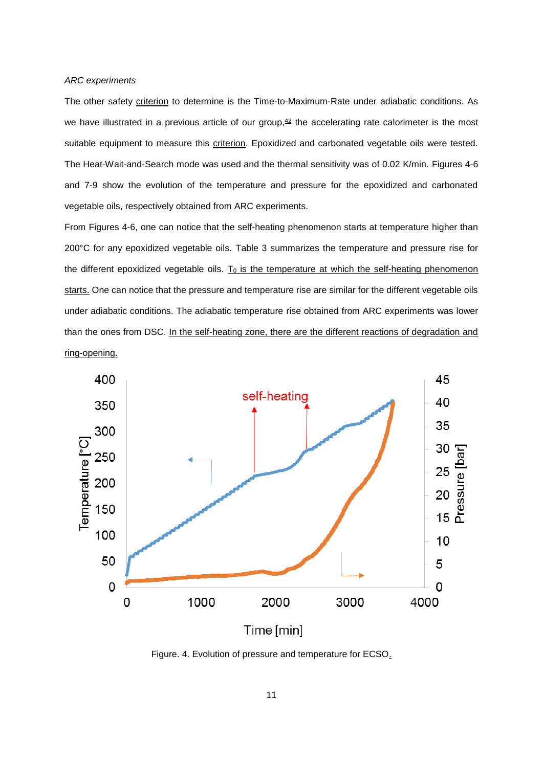#### *ARC experiments*

The other safety criterion to determine is the Time-to-Maximum-Rate under adiabatic conditions. As we have illustrated in a previous article of our group, $42$  the accelerating rate calorimeter is the most suitable equipment to measure this criterion. Epoxidized and carbonated vegetable oils were tested. The Heat-Wait-and-Search mode was used and the thermal sensitivity was of 0.02 K/min. Figures 4-6 and 7-9 show the evolution of the temperature and pressure for the epoxidized and carbonated vegetable oils, respectively obtained from ARC experiments.

From Figures 4-6, one can notice that the self-heating phenomenon starts at temperature higher than 200°C for any epoxidized vegetable oils. Table 3 summarizes the temperature and pressure rise for the different epoxidized vegetable oils.  $T_0$  is the temperature at which the self-heating phenomenon starts. One can notice that the pressure and temperature rise are similar for the different vegetable oils under adiabatic conditions. The adiabatic temperature rise obtained from ARC experiments was lower than the ones from DSC. In the self-heating zone, there are the different reactions of degradation and ring-opening.



Figure. 4. Evolution of pressure and temperature for ECSO.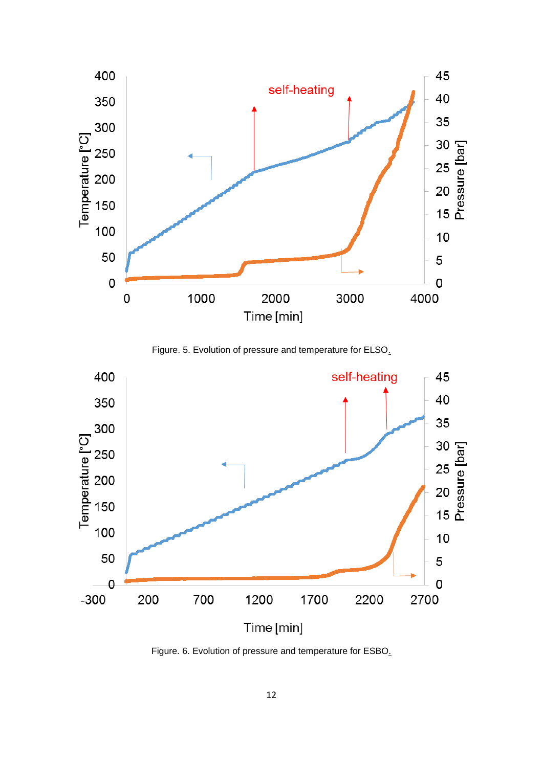

Figure. 5. Evolution of pressure and temperature for ELSO.



Figure. 6. Evolution of pressure and temperature for ESBO.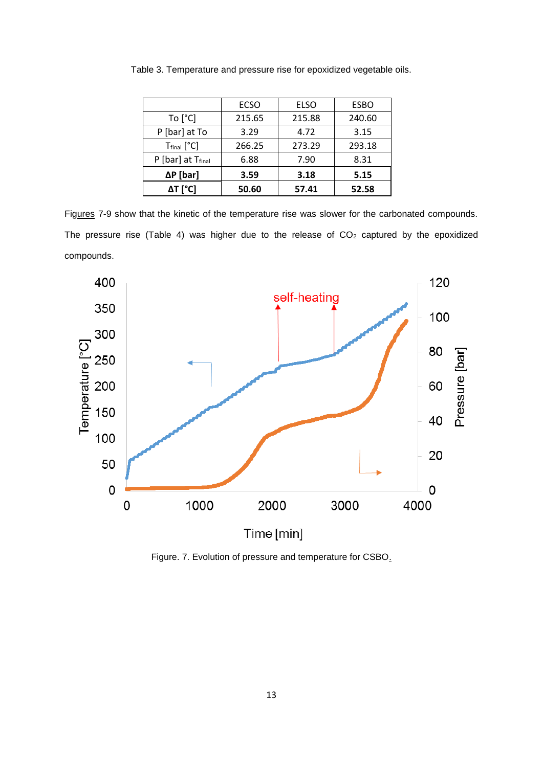|                               | <b>ECSO</b> | <b>ELSO</b> | <b>ESBO</b> |
|-------------------------------|-------------|-------------|-------------|
| To $[°C]$                     | 215.65      | 215.88      | 240.60      |
| P [bar] at To                 | 3.29        | 4.72        | 3.15        |
| $T_{final}$ [ $°C$ ]          | 266.25      | 273.29      | 293.18      |
| P [bar] at T <sub>final</sub> | 6.88        | 7.90        | 8.31        |
| $\Delta P$ [bar]              | 3.59        | 3.18        | 5.15        |
| ΔT [°C]                       | 50.60       | 57.41       | 52.58       |

Table 3. Temperature and pressure rise for epoxidized vegetable oils.

Figures 7-9 show that the kinetic of the temperature rise was slower for the carbonated compounds. The pressure rise (Table 4) was higher due to the release of  $CO<sub>2</sub>$  captured by the epoxidized compounds.



Figure. 7. Evolution of pressure and temperature for CSBO.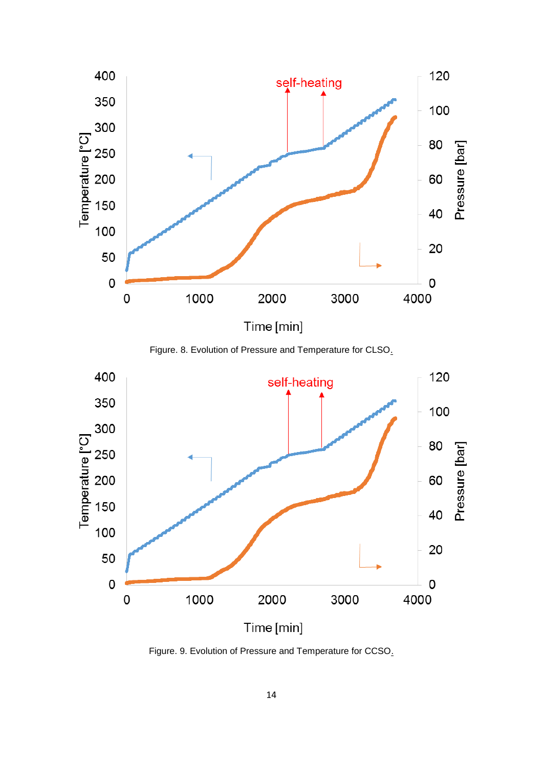

Figure. 8. Evolution of Pressure and Temperature for CLSO.



Figure. 9. Evolution of Pressure and Temperature for CCSO.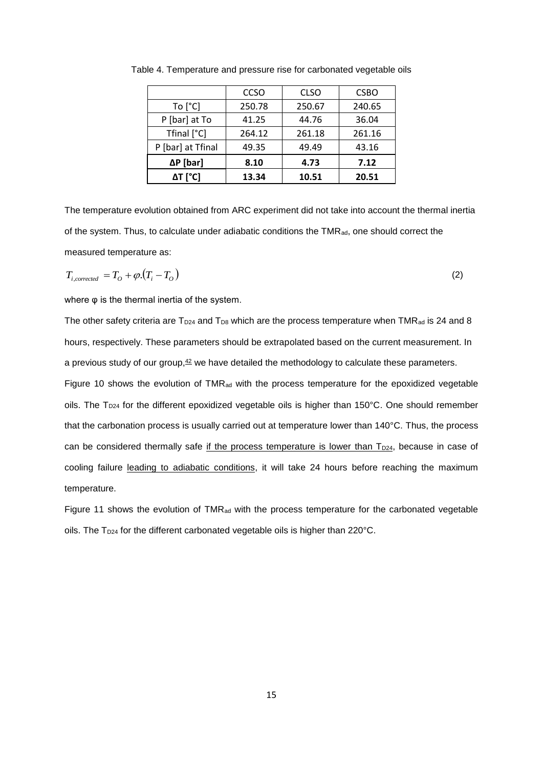|                   | CCSO   | <b>CLSO</b> | <b>CSBO</b> |
|-------------------|--------|-------------|-------------|
| To $[^{\circ}C]$  | 250.78 | 250.67      | 240.65      |
| P [bar] at To     | 41.25  | 44.76       | 36.04       |
| Tfinal [°C]       | 264.12 | 261.18      | 261.16      |
| P [bar] at Tfinal | 49.35  | 49.49       | 43.16       |
| $\Delta P$ [bar]  | 8.10   | 4.73        | 7.12        |
| ΔT [°C]           | 13.34  | 10.51       | 20.51       |

Table 4. Temperature and pressure rise for carbonated vegetable oils

The temperature evolution obtained from ARC experiment did not take into account the thermal inertia of the system. Thus, to calculate under adiabatic conditions the TMR<sub>ad</sub>, one should correct the measured temperature as:

$$
T_{i,corrected} = T_O + \varphi \cdot (T_i - T_O) \tag{2}
$$

where φ is the thermal inertia of the system.

The other safety criteria are  $T_{D24}$  and  $T_{D8}$  which are the process temperature when TMR<sub>ad</sub> is 24 and 8 hours, respectively. These parameters should be extrapolated based on the current measurement. In a previous study of our group, $42$  we have detailed the methodology to calculate these parameters.

Figure 10 shows the evolution of TMR<sub>ad</sub> with the process temperature for the epoxidized vegetable oils. The T<sub>D24</sub> for the different epoxidized vegetable oils is higher than 150°C. One should remember that the carbonation process is usually carried out at temperature lower than 140°C. Thus, the process can be considered thermally safe if the process temperature is lower than  $T_{D24}$ , because in case of cooling failure leading to adiabatic conditions, it will take 24 hours before reaching the maximum temperature.

Figure 11 shows the evolution of TMR<sub>ad</sub> with the process temperature for the carbonated vegetable oils. The T<sub>D24</sub> for the different carbonated vegetable oils is higher than 220°C.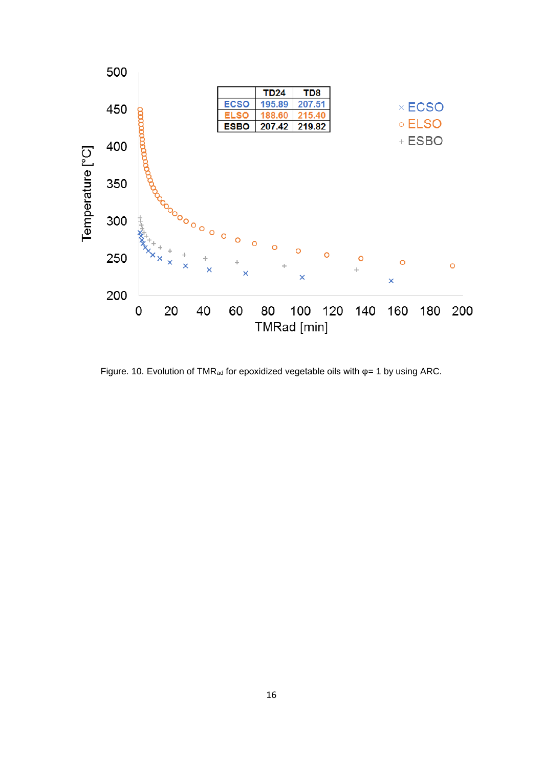

Figure. 10. Evolution of TMR<sub>ad</sub> for epoxidized vegetable oils with  $\varphi$ = 1 by using ARC.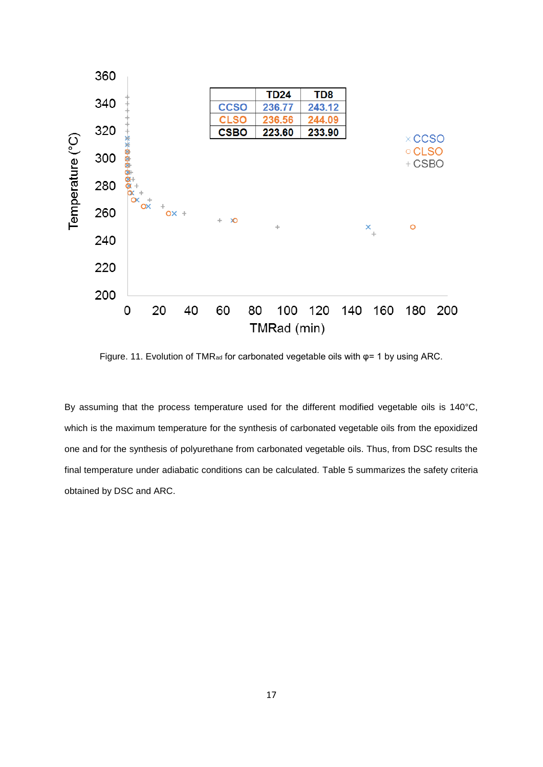

Figure. 11. Evolution of TMR<sub>ad</sub> for carbonated vegetable oils with  $\varphi$ = 1 by using ARC.

By assuming that the process temperature used for the different modified vegetable oils is 140°C, which is the maximum temperature for the synthesis of carbonated vegetable oils from the epoxidized one and for the synthesis of polyurethane from carbonated vegetable oils. Thus, from DSC results the final temperature under adiabatic conditions can be calculated. Table 5 summarizes the safety criteria obtained by DSC and ARC.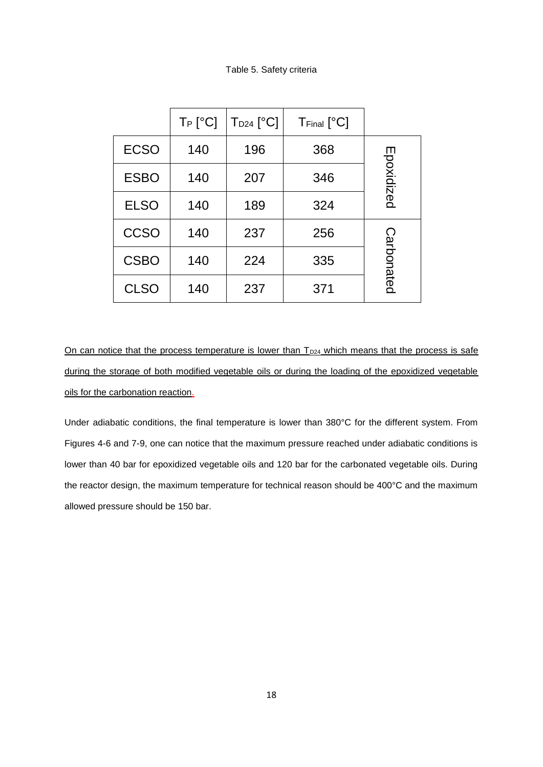## Table 5. Safety criteria

|             | $T_P$ [ $^{\circ}$ C] | $T_{D24}$ [°C] | $TFinal$ [ $^{\circ}C$ ] |            |
|-------------|-----------------------|----------------|--------------------------|------------|
| <b>ECSO</b> | 140                   | 196            | 368                      |            |
| <b>ESBO</b> | 140                   | 207            | 346                      | Epoxidized |
| <b>ELSO</b> | 140                   | 189            | 324                      |            |
| <b>CCSO</b> | 140                   | 237            | 256                      |            |
| <b>CSBO</b> | 140                   | 224            | 335                      | Carbonated |
| <b>CLSO</b> | 140                   | 237            | 371                      |            |

On can notice that the process temperature is lower than  $T_{D24}$  which means that the process is safe during the storage of both modified vegetable oils or during the loading of the epoxidized vegetable oils for the carbonation reaction.

Under adiabatic conditions, the final temperature is lower than 380°C for the different system. From Figures 4-6 and 7-9, one can notice that the maximum pressure reached under adiabatic conditions is lower than 40 bar for epoxidized vegetable oils and 120 bar for the carbonated vegetable oils. During the reactor design, the maximum temperature for technical reason should be 400°C and the maximum allowed pressure should be 150 bar.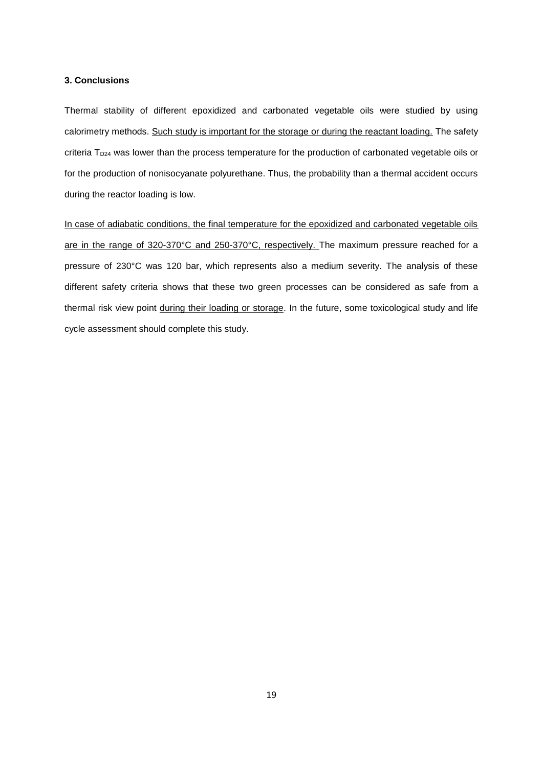#### **3. Conclusions**

Thermal stability of different epoxidized and carbonated vegetable oils were studied by using calorimetry methods. Such study is important for the storage or during the reactant loading. The safety criteria T<sub>D24</sub> was lower than the process temperature for the production of carbonated vegetable oils or for the production of nonisocyanate polyurethane. Thus, the probability than a thermal accident occurs during the reactor loading is low.

In case of adiabatic conditions, the final temperature for the epoxidized and carbonated vegetable oils are in the range of 320-370°C and 250-370°C, respectively. The maximum pressure reached for a pressure of 230°C was 120 bar, which represents also a medium severity. The analysis of these different safety criteria shows that these two green processes can be considered as safe from a thermal risk view point during their loading or storage. In the future, some toxicological study and life cycle assessment should complete this study.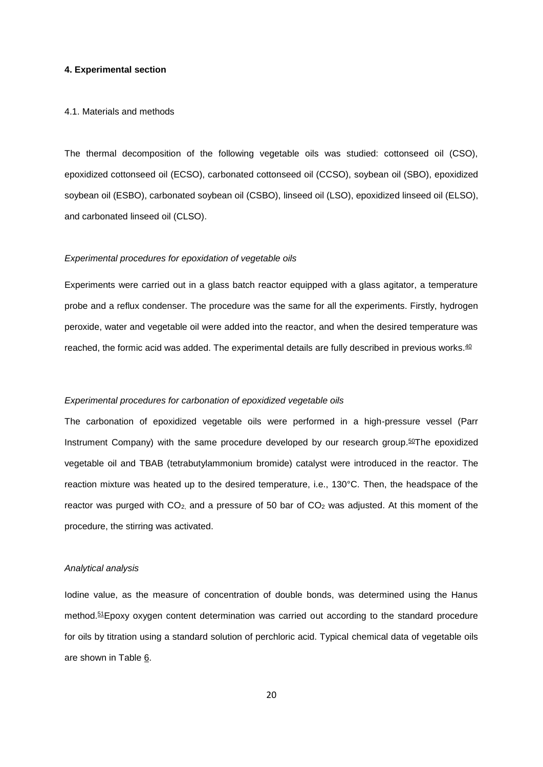#### **4. Experimental section**

#### 4.1. Materials and methods

The thermal decomposition of the following vegetable oils was studied: cottonseed oil (CSO), epoxidized cottonseed oil (ECSO), carbonated cottonseed oil (CCSO), soybean oil (SBO), epoxidized soybean oil (ESBO), carbonated soybean oil (CSBO), linseed oil (LSO), epoxidized linseed oil (ELSO), and carbonated linseed oil (CLSO).

#### *Experimental procedures for epoxidation of vegetable oils*

Experiments were carried out in a glass batch reactor equipped with a glass agitator, a temperature probe and a reflux condenser. The procedure was the same for all the experiments. Firstly, hydrogen peroxide, water and vegetable oil were added into the reactor, and when the desired temperature was reached, the formic acid was added. The experimental details are fully described in previous works.<sup>40</sup>

#### *Experimental procedures for carbonation of epoxidized vegetable oils*

The carbonation of epoxidized vegetable oils were performed in a high-pressure vessel (Parr Instrument Company) with the same procedure developed by our research group.<sup>50</sup>The epoxidized vegetable oil and TBAB (tetrabutylammonium bromide) catalyst were introduced in the reactor. The reaction mixture was heated up to the desired temperature, i.e., 130°C. Then, the headspace of the reactor was purged with  $CO<sub>2</sub>$  and a pressure of 50 bar of  $CO<sub>2</sub>$  was adjusted. At this moment of the procedure, the stirring was activated.

## *Analytical analysis*

Iodine value, as the measure of concentration of double bonds, was determined using the Hanus method.<sup>51</sup>Epoxy oxygen content determination was carried out according to the standard procedure for oils by titration using a standard solution of perchloric acid. Typical chemical data of vegetable oils are shown in Table 6.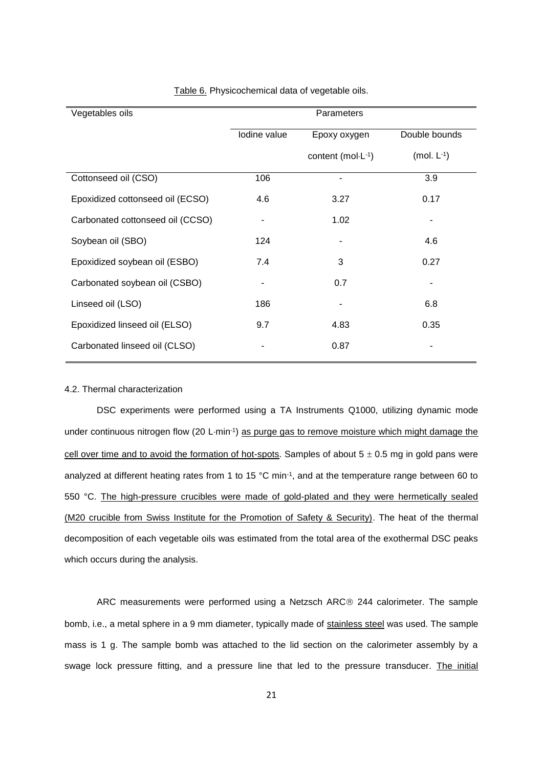| Vegetables oils                  |              | Parameters        |                  |
|----------------------------------|--------------|-------------------|------------------|
|                                  | Iodine value | Epoxy oxygen      | Double bounds    |
|                                  |              | content (mol·L-1) | (mol. $L^{-1}$ ) |
| Cottonseed oil (CSO)             | 106          |                   | 3.9              |
| Epoxidized cottonseed oil (ECSO) | 4.6          | 3.27              | 0.17             |
| Carbonated cottonseed oil (CCSO) |              | 1.02              |                  |
| Soybean oil (SBO)                | 124          |                   | 4.6              |
| Epoxidized soybean oil (ESBO)    | 7.4          | 3                 | 0.27             |
| Carbonated soybean oil (CSBO)    |              | 0.7               |                  |
| Linseed oil (LSO)                | 186          |                   | 6.8              |
| Epoxidized linseed oil (ELSO)    | 9.7          | 4.83              | 0.35             |
| Carbonated linseed oil (CLSO)    |              | 0.87              |                  |

Table 6. Physicochemical data of vegetable oils.

## 4.2. Thermal characterization

DSC experiments were performed using a TA Instruments Q1000, utilizing dynamic mode under continuous nitrogen flow (20 L·min<sup>-1</sup>) as purge gas to remove moisture which might damage the cell over time and to avoid the formation of hot-spots. Samples of about  $5 \pm 0.5$  mg in gold pans were analyzed at different heating rates from 1 to 15 °C min-1 , and at the temperature range between 60 to 550 °C. The high-pressure crucibles were made of gold-plated and they were hermetically sealed (M20 crucible from Swiss Institute for the Promotion of Safety & Security). The heat of the thermal decomposition of each vegetable oils was estimated from the total area of the exothermal DSC peaks which occurs during the analysis.

ARC measurements were performed using a Netzsch ARC® 244 calorimeter. The sample bomb, i.e., a metal sphere in a 9 mm diameter, typically made of stainless steel was used. The sample mass is 1 g. The sample bomb was attached to the lid section on the calorimeter assembly by a swage lock pressure fitting, and a pressure line that led to the pressure transducer. The initial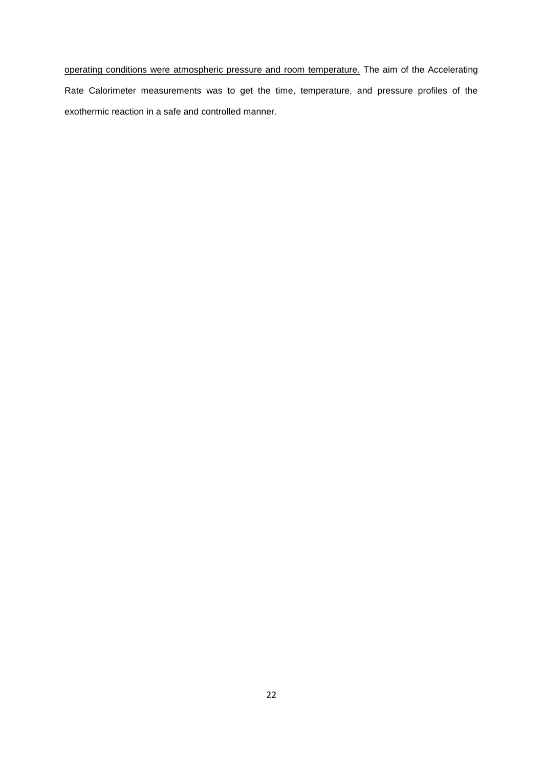operating conditions were atmospheric pressure and room temperature. The aim of the Accelerating Rate Calorimeter measurements was to get the time, temperature, and pressure profiles of the exothermic reaction in a safe and controlled manner.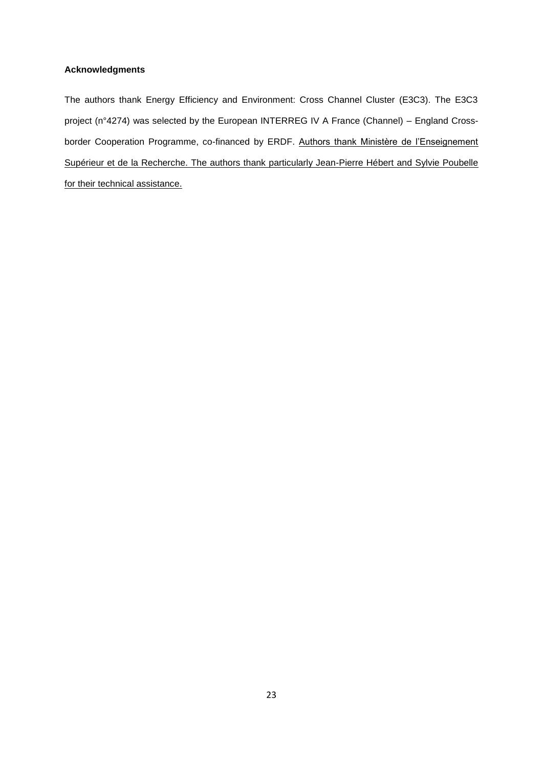## **Acknowledgments**

The authors thank Energy Efficiency and Environment: Cross Channel Cluster (E3C3). The E3C3 project (n°4274) was selected by the European INTERREG IV A France (Channel) – England Crossborder Cooperation Programme, co-financed by ERDF. Authors thank Ministère de l'Enseignement Supérieur et de la Recherche. The authors thank particularly Jean-Pierre Hébert and Sylvie Poubelle for their technical assistance.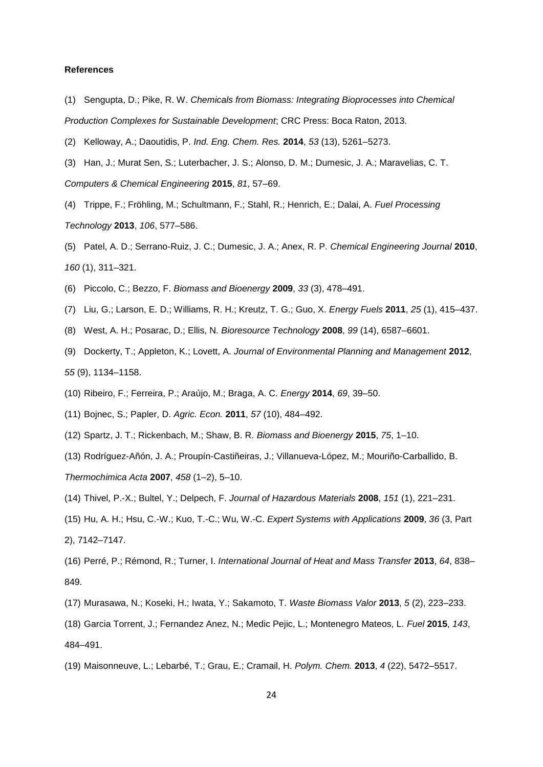### **References**

- (1) Sengupta, D.; Pike, R. W. *Chemicals from Biomass: Integrating Bioprocesses into Chemical Production Complexes for Sustainable Development*; CRC Press: Boca Raton, 2013.
- (2) Kelloway, A.; Daoutidis, P. *Ind. Eng. Chem. Res.* **2014**, *53* (13), 5261–5273.
- (3) Han, J.; Murat Sen, S.; Luterbacher, J. S.; Alonso, D. M.; Dumesic, J. A.; Maravelias, C. T. *Computers & Chemical Engineering* **2015**, *81*, 57–69.
- (4) Trippe, F.; Fröhling, M.; Schultmann, F.; Stahl, R.; Henrich, E.; Dalai, A. *Fuel Processing Technology* **2013**, *106*, 577–586.
- (5) Patel, A. D.; Serrano-Ruiz, J. C.; Dumesic, J. A.; Anex, R. P. *Chemical Engineering Journal* **2010**, *160* (1), 311–321.
- (6) Piccolo, C.; Bezzo, F. *Biomass and Bioenergy* **2009**, *33* (3), 478–491.
- (7) Liu, G.; Larson, E. D.; Williams, R. H.; Kreutz, T. G.; Guo, X. *Energy Fuels* **2011**, *25* (1), 415–437.
- (8) West, A. H.; Posarac, D.; Ellis, N. *Bioresource Technology* **2008**, *99* (14), 6587–6601.
- (9) Dockerty, T.; Appleton, K.; Lovett, A. *Journal of Environmental Planning and Management* **2012**, *55* (9), 1134–1158.
- (10) Ribeiro, F.; Ferreira, P.; Araújo, M.; Braga, A. C. *Energy* **2014**, *69*, 39–50.
- (11) Bojnec, S.; Papler, D. *Agric. Econ.* **2011**, *57* (10), 484–492.
- (12) Spartz, J. T.; Rickenbach, M.; Shaw, B. R. *Biomass and Bioenergy* **2015**, *75*, 1–10.
- (13) Rodríguez-Añón, J. A.; Proupín-Castiñeiras, J.; Villanueva-López, M.; Mouriño-Carballido, B. *Thermochimica Acta* **2007**, *458* (1–2), 5–10.
- (14) Thivel, P.-X.; Bultel, Y.; Delpech, F. *Journal of Hazardous Materials* **2008**, *151* (1), 221–231.
- (15) Hu, A. H.; Hsu, C.-W.; Kuo, T.-C.; Wu, W.-C. *Expert Systems with Applications* **2009**, *36* (3, Part 2), 7142–7147.
- (16) Perré, P.; Rémond, R.; Turner, I. *International Journal of Heat and Mass Transfer* **2013**, *64*, 838– 849.
- (17) Murasawa, N.; Koseki, H.; Iwata, Y.; Sakamoto, T. *Waste Biomass Valor* **2013**, *5* (2), 223–233.
- (18) Garcia Torrent, J.; Fernandez Anez, N.; Medic Pejic, L.; Montenegro Mateos, L. *Fuel* **2015**, *143*, 484–491.
- (19) Maisonneuve, L.; Lebarbé, T.; Grau, E.; Cramail, H. *Polym. Chem.* **2013**, *4* (22), 5472–5517.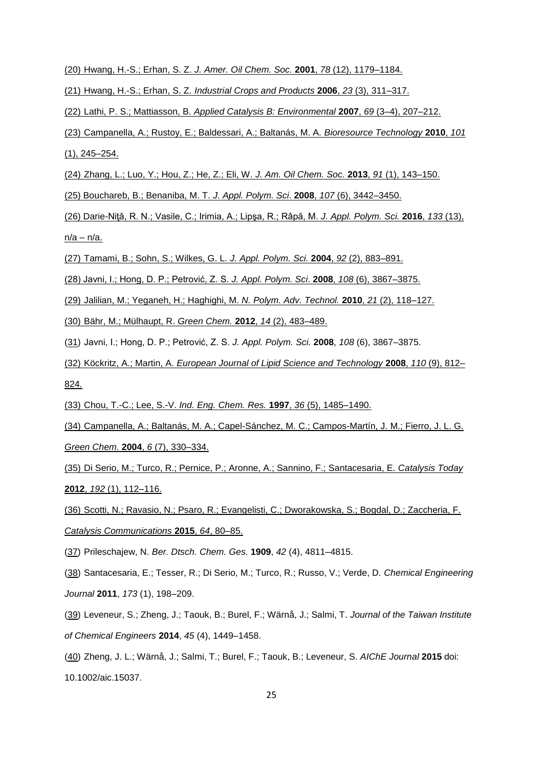- (20) Hwang, H.-S.; Erhan, S. Z. *J. Amer. Oil Chem. Soc.* **2001**, *78* (12), 1179–1184.
- (21) Hwang, H.-S.; Erhan, S. Z*. Industrial Crops and Products* **2006**, *23* (3), 311–317.
- (22) Lathi, P. S.; Mattiasson, B. *Applied Catalysis B: Environmental* **2007**, *69* (3–4), 207–212.
- (23) Campanella, A.; Rustoy, E.; Baldessari, A.; Baltanás, M. A. *Bioresource Technology* **2010**, *101*  $(1), 245 - 254.$
- (24) Zhang, L.; Luo, Y.; Hou, Z.; He, Z.; Eli, W. *J. Am. Oil Chem. Soc.* **2013**, *91* (1), 143–150.
- (25) Bouchareb, B.; Benaniba, M. T. *J. Appl. Polym. Sci*. **2008**, *107* (6), 3442–3450.
- (26) Darie-Niţă, R. N.; Vasile, C.; Irimia, A.; Lipşa, R.; Râpă, M. *J. Appl. Polym. Sci.* **2016**, *133* (13), n/a – n/a.
- (27) Tamami, B.; Sohn, S.; Wilkes, G. L. *J. Appl. Polym. Sci.* **2004**, *92* (2), 883–891.
- (28) Javni, I.; Hong, D. P.; Petrović, Z. S. *J. Appl. Polym. Sci*. **2008**, *108* (6), 3867–3875.
- (29) Jalilian, M.; Yeganeh, H.; Haghighi, M. *N. Polym. Adv. Technol.* **2010**, *21* (2), 118–127.
- (30) Bähr, M.; Mülhaupt, R. *Green Chem.* **2012**, *14* (2), 483–489.
- (31) Javni, I.; Hong, D. P.; Petrović, Z. S. *J. Appl. Polym. Sci.* **2008**, *108* (6), 3867–3875.
- (32) Köckritz, A.; Martin, A. *European Journal of Lipid Science and Technology* **2008**, *110* (9), 812– 824.
- (33) Chou, T.-C.; Lee, S.-V. *Ind. Eng. Chem. Res.* **1997**, *36* (5), 1485–1490.
- (34) Campanella, A.; Baltanás, M. A.; Capel-Sánchez, M. C.; Campos-Martín, J. M.; Fierro, J. L. G. *Green Chem.* **2004**, *6* (7), 330–334.
- (35) Di Serio, M.; Turco, R.; Pernice, P.; Aronne, A.; Sannino, F.; Santacesaria, E. *Catalysis Today* **2012**, *192* (1), 112–116.
- (36) Scotti, N.; Ravasio, N.; Psaro, R.; Evangelisti, C.; Dworakowska, S.; Bogdal, D.; Zaccheria, F. *Catalysis Communications* **2015**, *64*, 80–85.
- (37) Prileschajew, N. *Ber. Dtsch. Chem. Ges.* **1909**, *42* (4), 4811–4815.
- (38) Santacesaria, E.; Tesser, R.; Di Serio, M.; Turco, R.; Russo, V.; Verde, D. *Chemical Engineering Journal* **2011**, *173* (1), 198–209.
- (39) Leveneur, S.; Zheng, J.; Taouk, B.; Burel, F.; Wärnå, J.; Salmi, T. *Journal of the Taiwan Institute of Chemical Engineers* **2014**, *45* (4), 1449–1458.
- (40) Zheng, J. L.; Wärnå, J.; Salmi, T.; Burel, F.; Taouk, B.; Leveneur, S. *AIChE Journal* **2015** doi: 10.1002/aic.15037.